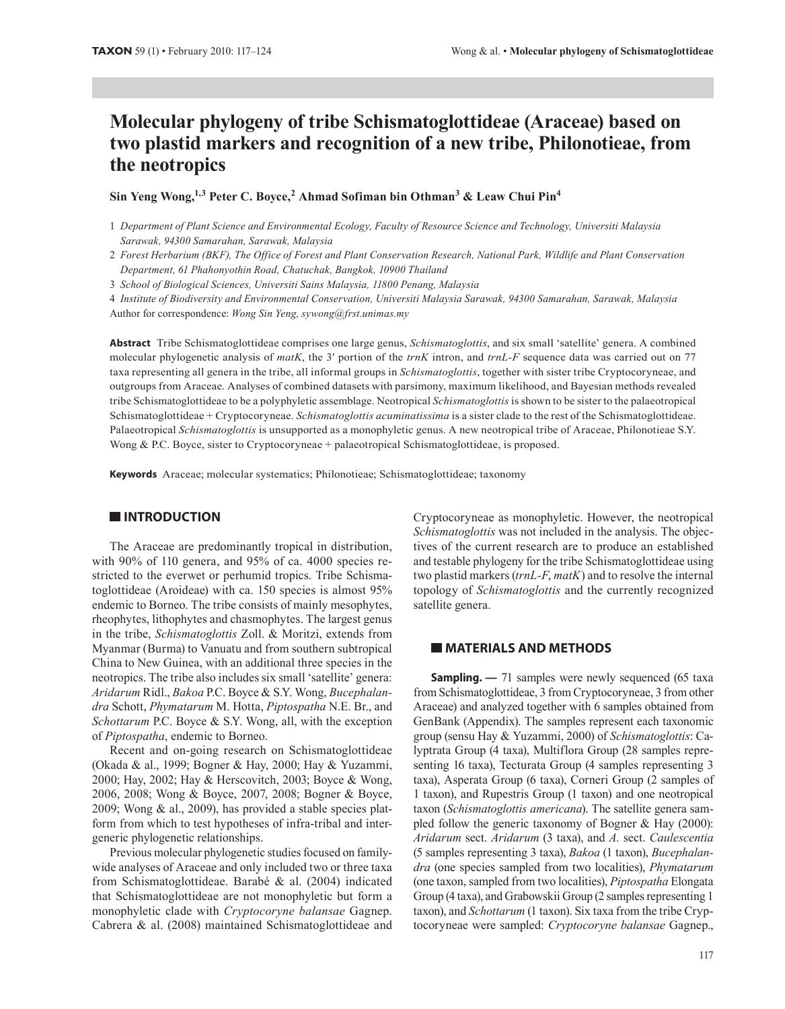# **Molecular phylogeny of tribe Schismatoglottideae (Araceae) based on two plastid markers and recognition of a new tribe, Philonotieae, from the neotropics**

Sin Yeng Wong,<sup>1,3</sup> Peter C. Boyce,<sup>2</sup> Ahmad Sofiman bin Othman<sup>3</sup> & Leaw Chui Pin<sup>4</sup>

2 *Forest Herbarium (BKF), The Office of Forest and Plant Conservation Research, National Park, Wildlife and Plant Conservation Department, 61 Phahonyothin Road, Chatuchak, Bangkok, 10900 Thailand*

3 *School of Biological Sciences, Universiti Sains Malaysia, 11800 Penang, Malaysia*

4 *Institute of Biodiversity and Environmental Conservation, Universiti Malaysia Sarawak, 94300 Samarahan, Sarawak, Malaysia*

Author for correspondence: *Wong Sin Yeng, sywong@frst.unimas.my*

**Abstract** Tribe Schismatoglottideae comprises one large genus, *Schismatoglottis*, and six small 'satellite' genera. A combined molecular phylogenetic analysis of *matK*, the 3′ portion of the *trnK* intron, and *trnL-F* sequence data was carried out on 77 taxa representing all genera in the tribe, all informal groups in *Schismatoglottis*, together with sister tribe Cryptocoryneae, and outgroups from Araceae. Analyses of combined datasets with parsimony, maximum likelihood, and Bayesian methods revealed tribe Schismatoglottideae to be a polyphyletic assemblage. Neotropical *Schismatoglottis* is shown to be sister to the palaeotropical Schismatoglottideae + Cryptocoryneae. *Schismatoglottis acuminatissima* is a sister clade to the rest of the Schismatoglottideae. Palaeotropical *Schismatoglottis* is unsupported as a monophyletic genus. A new neotropical tribe of Araceae, Philonotieae S.Y. Wong & P.C. Boyce, sister to Cryptocoryneae + palaeotropical Schismatoglottideae, is proposed.

**Keywords** Araceae; molecular systematics; Philonotieae; Schismatoglottideae; taxonomy

## **INTRODUCTION**

The Araceae are predominantly tropical in distribution, with 90% of 110 genera, and 95% of ca. 4000 species restricted to the everwet or perhumid tropics. Tribe Schismatoglottideae (Aroideae) with ca. 150 species is almost 95% endemic to Borneo. The tribe consists of mainly mesophytes, rheophytes, lithophytes and chasmophytes. The largest genus in the tribe, *Schismatoglottis* Zoll. & Moritzi, extends from Myanmar (Burma) to Vanuatu and from southern subtropical China to New Guinea, with an additional three species in the neotropics. The tribe also includes six small 'satellite' genera: *Aridarum* Ridl., *Bakoa* P.C. Boyce & S.Y. Wong, *Bucephalandra* Schott, *Phymatarum* M. Hotta, *Piptospatha* N.E. Br., and *Schottarum* P.C. Boyce & S.Y. Wong, all, with the exception of *Piptospatha*, endemic to Borneo.

Recent and on-going research on Schismatoglottideae (Okada & al., 1999; Bogner & Hay, 2000; Hay & Yuzammi, 2000; Hay, 2002; Hay & Herscovitch, 2003; Boyce & Wong, 2006, 2008; Wong & Boyce, 2007, 2008; Bogner & Boyce, 2009; Wong & al., 2009), has provided a stable species platform from which to test hypotheses of infra-tribal and intergeneric phylogenetic relationships.

Previous molecular phylogenetic studies focused on familywide analyses of Araceae and only included two or three taxa from Schismatoglottideae. Barabé & al. (2004) indicated that Schismatoglottideae are not monophyletic but form a monophyletic clade with *Cryptocoryne balansae* Gagnep. Cabrera & al. (2008) maintained Schismatoglottideae and Cryptocoryneae as monophyletic. However, the neotropical *Schismatoglottis* was not included in the analysis. The objectives of the current research are to produce an established and testable phylogeny for the tribe Schismatoglottideae using two plastid markers (*trnL-F*, *matK*) and to resolve the internal topology of *Schismatoglottis* and the currently recognized satellite genera.

## **MATERIALS AND METHODS**

**Sampling.** — 71 samples were newly sequenced (65 taxa from Schismatoglottideae, 3 from Cryptocoryneae, 3 from other Araceae) and analyzed together with 6 samples obtained from GenBank (Appendix). The samples represent each taxonomic group (sensu Hay & Yuzammi, 2000) of *Schismatoglottis*: Calyptrata Group (4 taxa), Multiflora Group (28 samples representing 16 taxa), Tecturata Group (4 samples representing 3 taxa), Asperata Group (6 taxa), Corneri Group (2 samples of 1 taxon), and Rupestris Group (1 taxon) and one neotropical taxon (*Schismatoglottis americana*). The satellite genera sampled follow the generic taxonomy of Bogner & Hay (2000): *Aridarum* sect. *Aridarum* (3 taxa), and *A.* sect. *Caulescentia* (5 samples representing 3 taxa), *Bakoa* (1 taxon), *Bucephalandra* (one species sampled from two localities), *Phymatarum* (one taxon, sampled from two localities), *Piptospatha* Elongata Group (4 taxa), and Grabowskii Group (2 samples representing 1 taxon), and *Schottarum* (1 taxon). Six taxa from the tribe Cryptocoryneae were sampled: *Cryptocoryne balansae* Gagnep.,

<sup>1</sup> *Department of Plant Science and Environmental Ecology, Faculty of Resource Science and Technology, Universiti Malaysia Sarawak, 94300 Samarahan, Sarawak, Malaysia*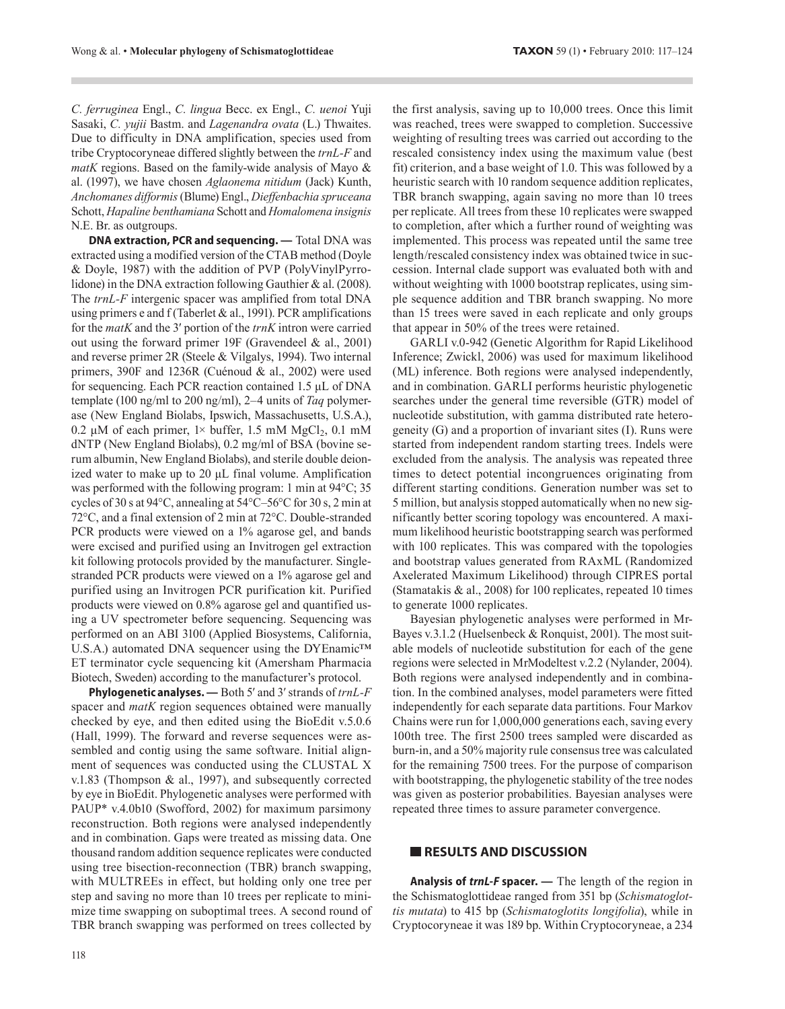*C. ferruginea* Engl., *C. lingua* Becc. ex Engl., *C. uenoi* Yuji Sasaki, *C. yujii* Bastm. and *Lagenandra ovata* (L.) Thwaites. Due to difficulty in DNA amplification, species used from tribe Cryptocoryneae differed slightly between the *trnL-F* and *matK* regions. Based on the family-wide analysis of Mayo & al. (1997), we have chosen *Aglaonema nitidum* (Jack) Kunth, *Anchomanes difformis* (Blume) Engl., *Dieffenbachia spruceana* Schott, *Hapaline benthamiana* Schott and *Homalomena insignis* N.E. Br. as outgroups.

**DNA extraction, PCR and sequencing. —** Total DNA was extracted using a modified version of the CTAB method (Doyle & Doyle, 1987) with the addition of PVP (PolyVinylPyrrolidone) in the DNA extraction following Gauthier & al. (2008). The *trnL-F* intergenic spacer was amplified from total DNA using primers e and f (Taberlet & al., 1991). PCR amplifications for the *matK* and the 3′ portion of the *trnK* intron were carried out using the forward primer 19F (Gravendeel & al., 2001) and reverse primer 2R (Steele & Vilgalys, 1994). Two internal primers, 390F and 1236R (Cuénoud & al., 2002) were used for sequencing. Each PCR reaction contained 1.5 μL of DNA template (100 ng/ml to 200 ng/ml), 2–4 units of *Taq* polymerase (New England Biolabs, Ipswich, Massachusetts, U.S.A.), 0.2 μM of each primer,  $1\times$  buffer, 1.5 mM MgCl<sub>2</sub>, 0.1 mM dNTP (New England Biolabs), 0.2 mg/ml of BSA (bovine serum albumin, New England Biolabs), and sterile double deionized water to make up to 20 μL final volume. Amplification was performed with the following program: 1 min at 94°C; 35 cycles of 30 s at 94°C, annealing at 54°C–56°C for 30 s, 2 min at 72°C, and a final extension of 2 min at 72°C. Double-stranded PCR products were viewed on a 1% agarose gel, and bands were excised and purified using an Invitrogen gel extraction kit following protocols provided by the manufacturer. Singlestranded PCR products were viewed on a 1% agarose gel and purified using an Invitrogen PCR purification kit. Purified products were viewed on 0.8% agarose gel and quantified using a UV spectrometer before sequencing. Sequencing was performed on an ABI 3100 (Applied Biosystems, California, U.S.A.) automated DNA sequencer using the DYEnamic™ ET terminator cycle sequencing kit (Amersham Pharmacia Biotech, Sweden) according to the manufacturer's protocol.

**Phylogenetic analyses. —** Both 5′ and 3′ strands of *trnL-F* spacer and *matK* region sequences obtained were manually checked by eye, and then edited using the BioEdit v.5.0.6 (Hall, 1999). The forward and reverse sequences were assembled and contig using the same software. Initial alignment of sequences was conducted using the CLUSTAL X v.1.83 (Thompson & al., 1997), and subsequently corrected by eye in BioEdit. Phylogenetic analyses were performed with PAUP\* v.4.0b10 (Swofford, 2002) for maximum parsimony reconstruction. Both regions were analysed independently and in combination. Gaps were treated as missing data. One thousand random addition sequence replicates were conducted using tree bisection-reconnection (TBR) branch swapping, with MULTREEs in effect, but holding only one tree per step and saving no more than 10 trees per replicate to minimize time swapping on suboptimal trees. A second round of TBR branch swapping was performed on trees collected by

118

the first analysis, saving up to 10,000 trees. Once this limit was reached, trees were swapped to completion. Successive weighting of resulting trees was carried out according to the rescaled consistency index using the maximum value (best fit) criterion, and a base weight of 1.0. This was followed by a heuristic search with 10 random sequence addition replicates, TBR branch swapping, again saving no more than 10 trees per replicate. All trees from these 10 replicates were swapped to completion, after which a further round of weighting was implemented. This process was repeated until the same tree length/rescaled consistency index was obtained twice in succession. Internal clade support was evaluated both with and without weighting with 1000 bootstrap replicates, using simple sequence addition and TBR branch swapping. No more than 15 trees were saved in each replicate and only groups that appear in 50% of the trees were retained.

GARLI v.0-942 (Genetic Algorithm for Rapid Likelihood Inference; Zwickl, 2006) was used for maximum likelihood (ML) inference. Both regions were analysed independently, and in combination. GARLI performs heuristic phylogenetic searches under the general time reversible (GTR) model of nucleotide substitution, with gamma distributed rate heterogeneity (G) and a proportion of invariant sites (I). Runs were started from independent random starting trees. Indels were excluded from the analysis. The analysis was repeated three times to detect potential incongruences originating from different starting conditions. Generation number was set to 5 million, but analysis stopped automatically when no new significantly better scoring topology was encountered. A maximum likelihood heuristic bootstrapping search was performed with 100 replicates. This was compared with the topologies and bootstrap values generated from RAxML (Randomized Axelerated Maximum Likelihood) through CIPRES portal (Stamatakis & al., 2008) for 100 replicates, repeated 10 times to generate 1000 replicates.

Bayesian phylogenetic analyses were performed in Mr-Bayes v.3.1.2 (Huelsenbeck & Ronquist, 2001). The most suitable models of nucleotide substitution for each of the gene regions were selected in MrModeltest v.2.2 (Nylander, 2004). Both regions were analysed independently and in combination. In the combined analyses, model parameters were fitted independently for each separate data partitions. Four Markov Chains were run for 1,000,000 generations each, saving every 100th tree. The first 2500 trees sampled were discarded as burn-in, and a 50% majority rule consensus tree was calculated for the remaining 7500 trees. For the purpose of comparison with bootstrapping, the phylogenetic stability of the tree nodes was given as posterior probabilities. Bayesian analyses were repeated three times to assure parameter convergence.

## **RESULTS AND DISCUSSION**

**Analysis of** *trnL-F* **spacer. —** The length of the region in the Schismatoglottideae ranged from 351 bp (*Schismatoglottis mutata*) to 415 bp (*Schismatoglotits longifolia*), while in Cryptocoryneae it was 189 bp. Within Cryptocoryneae, a 234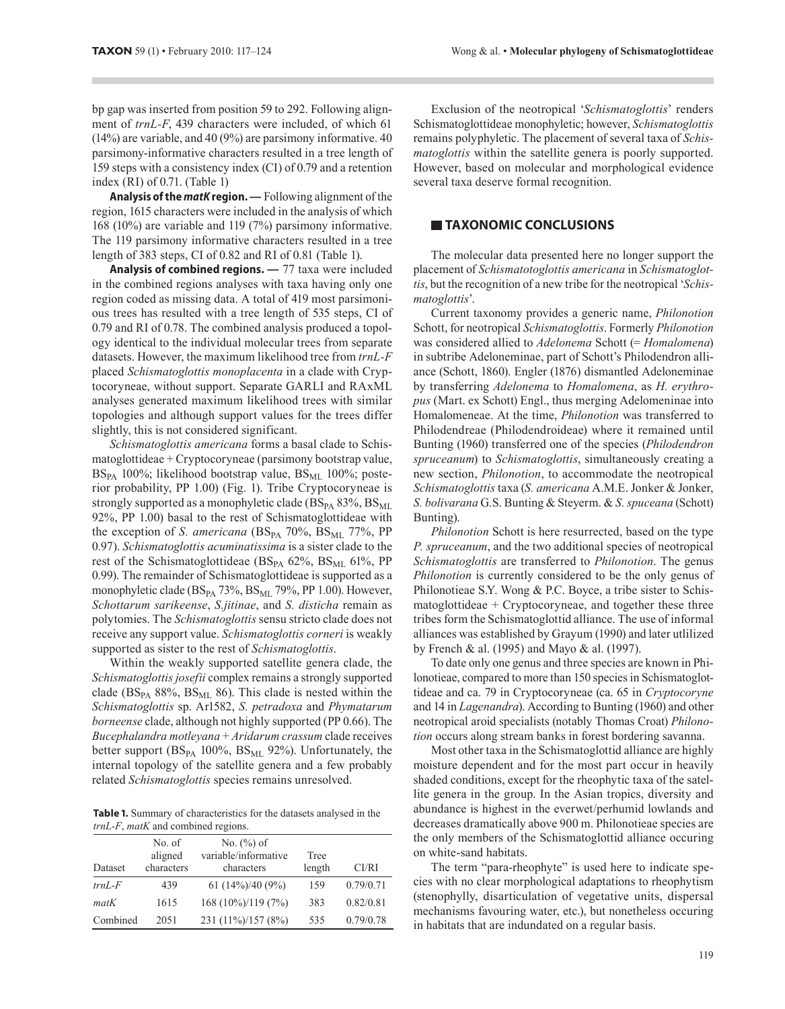bp gap was inserted from position 59 to 292. Following alignment of *trnL-F*, 439 characters were included, of which 61 (14%) are variable, and 40 (9%) are parsimony informative. 40 parsimony-informative characters resulted in a tree length of 159 steps with a consistency index (CI) of 0.79 and a retention index (RI) of 0.71. (Table 1)

**Analysis of the** *matK* **region. —** Following alignment of the region, 1615 characters were included in the analysis of which 168 (10%) are variable and 119 (7%) parsimony informative. The 119 parsimony informative characters resulted in a tree length of 383 steps, CI of 0.82 and RI of 0.81 (Table 1).

**Analysis of combined regions. —** 77 taxa were included in the combined regions analyses with taxa having only one region coded as missing data. A total of 419 most parsimonious trees has resulted with a tree length of 535 steps, CI of 0.79 and RI of 0.78. The combined analysis produced a topology identical to the individual molecular trees from separate datasets. However, the maximum likelihood tree from *trnL-F* placed *Schismatoglottis monoplacenta* in a clade with Cryptocoryneae, without support. Separate GARLI and RAxML analyses generated maximum likelihood trees with similar topologies and although support values for the trees differ slightly, this is not considered significant.

*Schismatoglottis americana* forms a basal clade to Schismatoglottideae + Cryptocoryneae (parsimony bootstrap value,  $BS_{PA}$  100%; likelihood bootstrap value,  $BS_{MI}$  100%; posterior probability, PP 1.00) (Fig. 1). Tribe Cryptocoryneae is strongly supported as a monophyletic clade ( $BS<sub>PA</sub> 83%$ ,  $BS<sub>ML</sub>$ 92%, PP 1.00) basal to the rest of Schismatoglottideae with the exception of *S. americana* ( $BS_{PA}$  70%,  $BS_{ML}$  77%, PP 0.97). *Schismatoglottis acuminatissima* is a sister clade to the rest of the Schismatoglottideae ( $BS_{PA}$  62%,  $BS_{ML}$  61%, PP 0.99). The remainder of Schismatoglottideae is supported as a monophyletic clade (BS<sub>PA</sub> 73%, BS<sub>ML</sub> 79%, PP 1.00). However, *Schottarum sarikeense*, *S.jitinae*, and *S. disticha* remain as polytomies. The *Schismatoglottis* sensu stricto clade does not receive any support value. *Schismatoglottis corneri* is weakly supported as sister to the rest of *Schismatoglottis*.

Within the weakly supported satellite genera clade, the *Schismatoglottis josefii* complex remains a strongly supported clade ( $BS_{PA}$  88%,  $BS_{ML}$  86). This clade is nested within the *Schismatoglottis* sp. Ar1582, *S. petradoxa* and *Phymatarum borneense* clade, although not highly supported (PP 0.66). The *Bucephalandra motleyana* + *Aridarum crassum* clade receives better support  $(BS_{PA} 100\%, BS_{ML} 92\%)$ . Unfortunately, the internal topology of the satellite genera and a few probably related *Schismatoglottis* species remains unresolved.

**Table 1.** Summary of characteristics for the datasets analysed in the *trnL-F*, *matK* and combined regions.

| Dataset  | No. of<br>aligned<br>characters | No. $(\%)$ of<br>variable/informative<br>characters | Tree<br>length | CI/RI     |
|----------|---------------------------------|-----------------------------------------------------|----------------|-----------|
|          |                                 |                                                     |                |           |
| $trnL-F$ | 439                             | 61 $(14\%)/40(9\%)$                                 | 159            | 0.79/0.71 |
| matK     | 1615                            | $168(10\%)/119(7\%)$                                | 383            | 0.82/0.81 |
| Combined | 2051                            | 231 (11%)/157 (8%)                                  | 535            | 0.79/0.78 |

Exclusion of the neotropical '*Schismatoglottis*' renders Schismatoglottideae monophyletic; however, *Schismatoglottis*  remains polyphyletic. The placement of several taxa of *Schismatoglottis* within the satellite genera is poorly supported. However, based on molecular and morphological evidence several taxa deserve formal recognition.

## **TAXONOMIC CONCLUSIONS**

The molecular data presented here no longer support the placement of *Schismatotoglottis americana* in *Schismatoglottis*, but the recognition of a new tribe for the neotropical '*Schismatoglottis*'.

Current taxonomy provides a generic name, *Philonotion*  Schott, for neotropical *Schismatoglottis*. Formerly *Philonotion*  was considered allied to *Adelonema* Schott (= *Homalomena*) in subtribe Adeloneminae, part of Schott's Philodendron alliance (Schott, 1860). Engler (1876) dismantled Adeloneminae by transferring *Adelonema* to *Homalomena*, as *H. erythropus* (Mart. ex Schott) Engl., thus merging Adelomeninae into Homalomeneae. At the time, *Philonotion* was transferred to Philodendreae (Philodendroideae) where it remained until Bunting (1960) transferred one of the species (*Philodendron spruceanum*) to *Schismatoglottis*, simultaneously creating a new section, *Philonotion*, to accommodate the neotropical *Schismatoglottis* taxa (*S. americana* A.M.E. Jonker & Jonker, *S. bolivarana* G.S. Bunting & Steyerm. & *S. spuceana* (Schott) Bunting).

*Philonotion* Schott is here resurrected, based on the type *P. spruceanum*, and the two additional species of neotropical *Schismatoglottis* are transferred to *Philonotion*. The genus *Philonotion* is currently considered to be the only genus of Philonotieae S.Y. Wong & P.C. Boyce, a tribe sister to Schis $mationalotideae + Cryptocoryneae$ , and together these three tribes form the Schismatoglottid alliance. The use of informal alliances was established by Grayum (1990) and later utlilized by French & al. (1995) and Mayo & al. (1997).

To date only one genus and three species are known in Philonotieae, compared to more than 150 species in Schismatoglottideae and ca. 79 in Cryptocoryneae (ca. 65 in *Cryptocoryne* and 14 in *Lagenandra*). According to Bunting (1960) and other neotropical aroid specialists (notably Thomas Croat) *Philonotion* occurs along stream banks in forest bordering savanna.

Most other taxa in the Schismatoglottid alliance are highly moisture dependent and for the most part occur in heavily shaded conditions, except for the rheophytic taxa of the satellite genera in the group. In the Asian tropics, diversity and abundance is highest in the everwet/perhumid lowlands and decreases dramatically above 900 m. Philonotieae species are the only members of the Schismatoglottid alliance occuring on white-sand habitats.

The term "para-rheophyte" is used here to indicate species with no clear morphological adaptations to rheophytism (stenophylly, disarticulation of vegetative units, dispersal mechanisms favouring water, etc.), but nonetheless occuring in habitats that are indundated on a regular basis.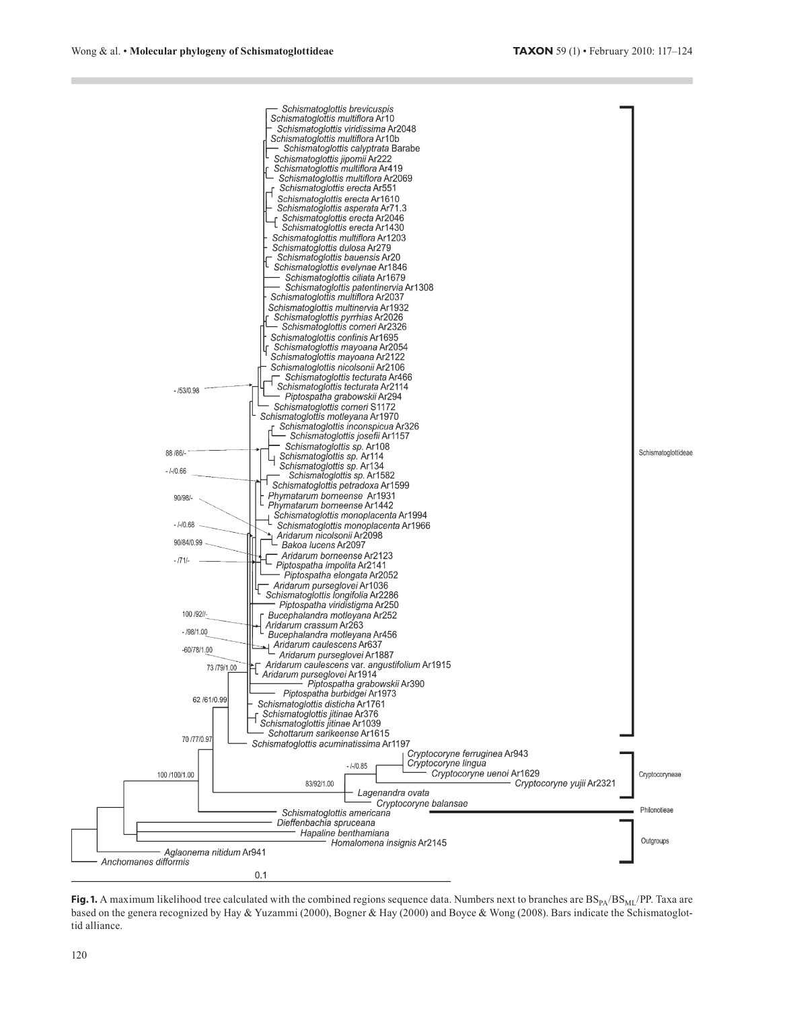

**Fig. 1.** A maximum likelihood tree calculated with the combined regions sequence data. Numbers next to branches are  $BS_{PA}/BS_{ML}/PP$ . Taxa are based on the genera recognized by Hay & Yuzammi (2000), Bogner & Hay (2000) and Boyce & Wong (2008). Bars indicate the Schismatoglottid alliance.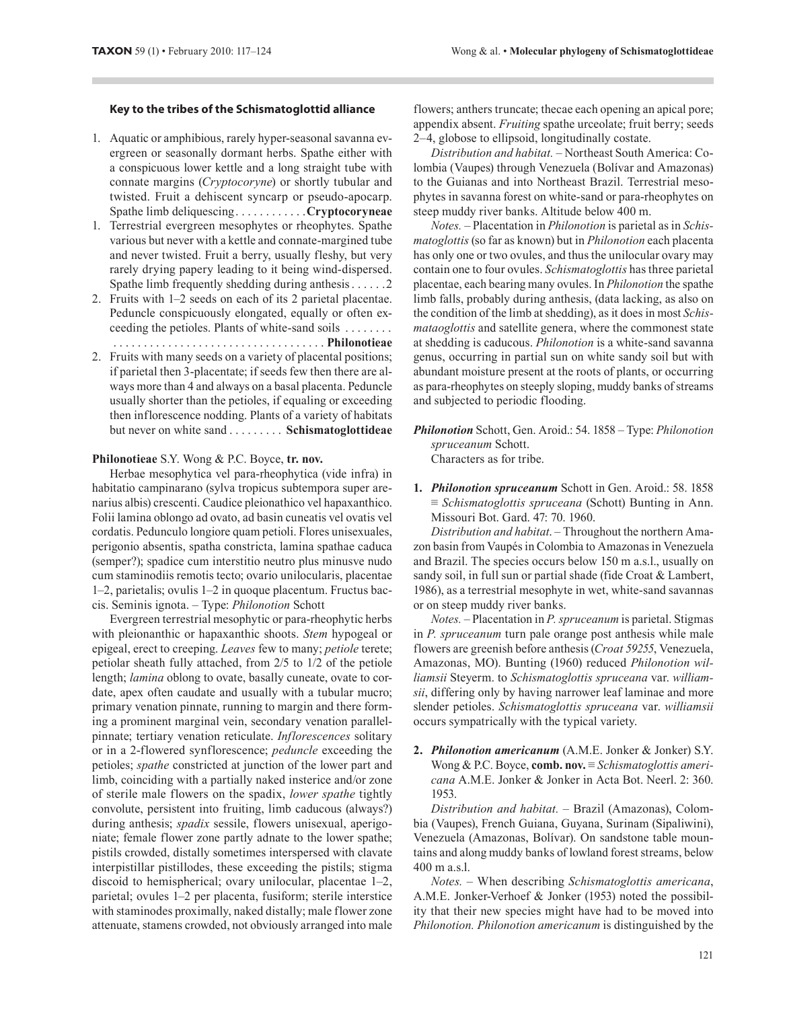### **Key to the tribes of the Schismatoglottid alliance**

- 1. Aquatic or amphibious, rarely hyper-seasonal savanna evergreen or seasonally dormant herbs. Spathe either with a conspicuous lower kettle and a long straight tube with connate margins (*Cryptocoryne*) or shortly tubular and twisted. Fruit a dehiscent syncarp or pseudo-apocarp. Spathe limb deliquescing. . . . . . . . . . . .**Cryptocoryneae**
- 1. Terrestrial evergreen mesophytes or rheophytes. Spathe various but never with a kettle and connate-margined tube and never twisted. Fruit a berry, usually fleshy, but very rarely drying papery leading to it being wind-dispersed. Spathe limb frequently shedding during anthesis . . . . . .2
- 2. Fruits with 1–2 seeds on each of its 2 parietal placentae. Peduncle conspicuously elongated, equally or often exceeding the petioles. Plants of white-sand soils . . . . . . . . . . . . . . . . . . . . . . . . . . . . . . . . . . . . . . . . . . . **Philonotieae**
- 2. Fruits with many seeds on a variety of placental positions; if parietal then 3-placentate; if seeds few then there are always more than 4 and always on a basal placenta. Peduncle usually shorter than the petioles, if equaling or exceeding then inflorescence nodding. Plants of a variety of habitats but never on white sand . . . . . . . . . **Schismatoglottideae**

#### **Philonotieae** S.Y. Wong & P.C. Boyce, **tr. nov.**

Herbae mesophytica vel para-rheophytica (vide infra) in habitatio campinarano (sylva tropicus subtempora super arenarius albis) crescenti. Caudice pleionathico vel hapaxanthico. Folii lamina oblongo ad ovato, ad basin cuneatis vel ovatis vel cordatis. Pedunculo longiore quam petioli. Flores unisexuales, perigonio absentis, spatha constricta, lamina spathae caduca (semper?); spadice cum interstitio neutro plus minusve nudo cum staminodiis remotis tecto; ovario unilocularis, placentae 1–2, parietalis; ovulis 1–2 in quoque placentum. Fructus baccis. Seminis ignota. – Type: *Philonotion* Schott

Evergreen terrestrial mesophytic or para-rheophytic herbs with pleionanthic or hapaxanthic shoots. *Stem* hypogeal or epigeal, erect to creeping. *Leaves* few to many; *petiole* terete; petiolar sheath fully attached, from 2/5 to 1/2 of the petiole length; *lamina* oblong to ovate, basally cuneate, ovate to cordate, apex often caudate and usually with a tubular mucro; primary venation pinnate, running to margin and there forming a prominent marginal vein, secondary venation parallelpinnate; tertiary venation reticulate. *Inflorescences* solitary or in a 2-flowered synflorescence; *peduncle* exceeding the petioles; *spathe* constricted at junction of the lower part and limb, coinciding with a partially naked insterice and/or zone of sterile male flowers on the spadix, *lower spathe* tightly convolute, persistent into fruiting, limb caducous (always?) during anthesis; *spadix* sessile, flowers unisexual, aperigoniate; female flower zone partly adnate to the lower spathe; pistils crowded, distally sometimes interspersed with clavate interpistillar pistillodes, these exceeding the pistils; stigma discoid to hemispherical; ovary unilocular, placentae 1–2, parietal; ovules 1–2 per placenta, fusiform; sterile interstice with staminodes proximally, naked distally; male flower zone attenuate, stamens crowded, not obviously arranged into male

flowers; anthers truncate; thecae each opening an apical pore; appendix absent. *Fruiting* spathe urceolate; fruit berry; seeds 2–4, globose to ellipsoid, longitudinally costate.

*Distribution and habitat. –* Northeast South America: Colombia (Vaupes) through Venezuela (Bolívar and Amazonas) to the Guianas and into Northeast Brazil. Terrestrial mesophytes in savanna forest on white-sand or para-rheophytes on steep muddy river banks. Altitude below 400 m.

*Notes. –* Placentation in *Philonotion* is parietal as in *Schismatoglottis* (so far as known) but in *Philonotion* each placenta has only one or two ovules, and thus the unilocular ovary may contain one to four ovules. *Schismatoglottis* has three parietal placentae, each bearing many ovules. In *Philonotion* the spathe limb falls, probably during anthesis, (data lacking, as also on the condition of the limb at shedding), as it does in most *Schismataoglottis* and satellite genera, where the commonest state at shedding is caducous. *Philonotion* is a white-sand savanna genus, occurring in partial sun on white sandy soil but with abundant moisture present at the roots of plants, or occurring as para-rheophytes on steeply sloping, muddy banks of streams and subjected to periodic flooding.

- *Philonotion* Schott, Gen. Aroid.: 54. 1858 Type: *Philonotion spruceanum* Schott. Characters as for tribe.
- **1.** *Philonotion spruceanum* Schott in Gen. Aroid.: 58. 1858 ≡ *Schismatoglottis spruceana* (Schott) Bunting in Ann. Missouri Bot. Gard. 47: 70. 1960.

*Distribution and habitat*. – Throughout the northern Amazon basin from Vaupés in Colombia to Amazonas in Venezuela and Brazil. The species occurs below 150 m a.s.l., usually on sandy soil, in full sun or partial shade (fide Croat & Lambert, 1986), as a terrestrial mesophyte in wet, white-sand savannas or on steep muddy river banks.

*Notes. –* Placentation in *P. spruceanum* is parietal. Stigmas in *P. spruceanum* turn pale orange post anthesis while male flowers are greenish before anthesis (*Croat 59255*, Venezuela, Amazonas, MO). Bunting (1960) reduced *Philonotion williamsii* Steyerm. to *Schismatoglottis spruceana* var. *williamsii*, differing only by having narrower leaf laminae and more slender petioles. *Schismatoglottis spruceana* var. *williamsii* occurs sympatrically with the typical variety.

**2.** *Philonotion americanum* (A.M.E. Jonker & Jonker) S.Y. Wong & P.C. Boyce, **comb. nov.** ≡ *Schismatoglottis americana* A.M.E. Jonker & Jonker in Acta Bot. Neerl. 2: 360. 1953.

*Distribution and habitat. –* Brazil (Amazonas), Colombia (Vaupes), French Guiana, Guyana, Surinam (Sipaliwini), Venezuela (Amazonas, Bolívar). On sandstone table mountains and along muddy banks of lowland forest streams, below 400 m a.s.l.

*Notes. –* When describing *Schismatoglottis americana*, A.M.E. Jonker-Verhoef & Jonker (1953) noted the possibility that their new species might have had to be moved into *Philonotion. Philonotion americanum* is distinguished by the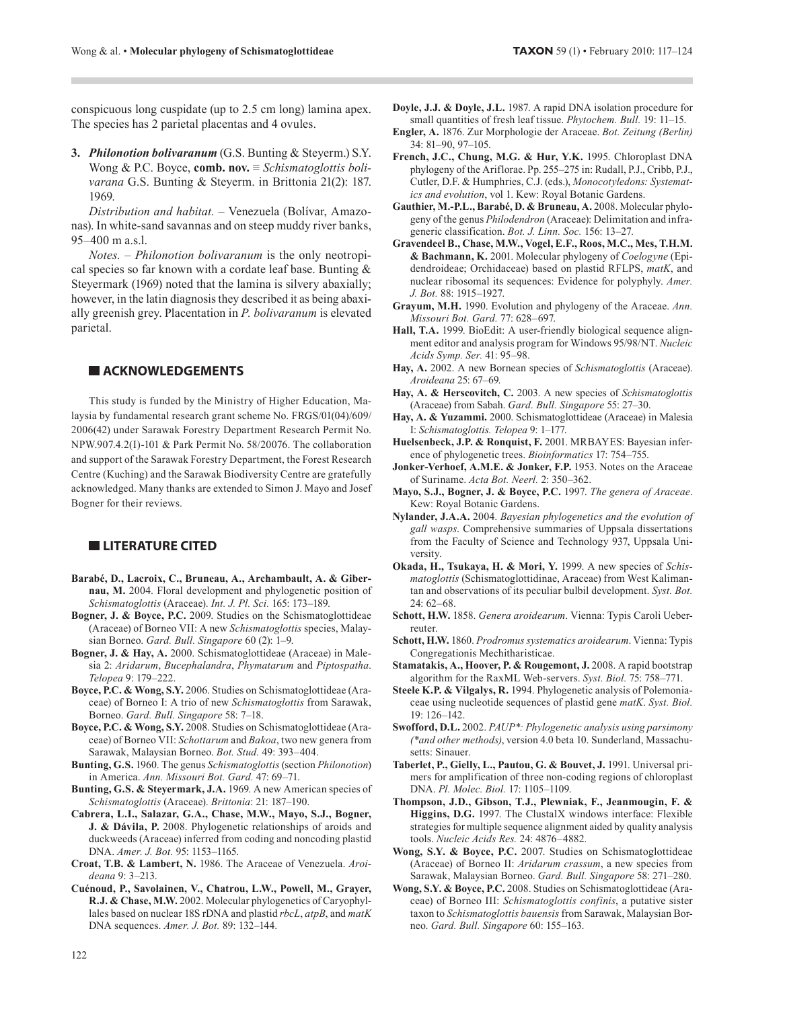conspicuous long cuspidate (up to 2.5 cm long) lamina apex. The species has 2 parietal placentas and 4 ovules.

**3.** *Philonotion bolivaranum* (G.S. Bunting & Steyerm.) S.Y. Wong & P.C. Boyce, **comb. nov.** ≡ *Schismatoglottis bolivarana* G.S. Bunting & Steyerm. in Brittonia 21(2): 187. 1969.

*Distribution and habitat. –* Venezuela (Bolívar, Amazonas). In white-sand savannas and on steep muddy river banks, 95–400 m a.s.l.

*Notes. – Philonotion bolivaranum* is the only neotropical species so far known with a cordate leaf base. Bunting & Steyermark (1969) noted that the lamina is silvery abaxially; however, in the latin diagnosis they described it as being abaxially greenish grey. Placentation in *P. bolivaranum* is elevated parietal.

## **ACKNOWLEDGEMENTS**

This study is funded by the Ministry of Higher Education, Malaysia by fundamental research grant scheme No. FRGS/01(04)/609/ 2006(42) under Sarawak Forestry Department Research Permit No. NPW.907.4.2(I)-101 & Park Permit No. 58/20076. The collaboration and support of the Sarawak Forestry Department, the Forest Research Centre (Kuching) and the Sarawak Biodiversity Centre are gratefully acknowledged. Many thanks are extended to Simon J. Mayo and Josef Bogner for their reviews.

## **LITERATURE CITED**

- **Barabé, D., Lacroix, C., Bruneau, A., Archambault, A. & Gibernau, M.** 2004. Floral development and phylogenetic position of *Schismatoglottis* (Araceae). *Int. J. Pl. Sci.* 165: 173–189.
- **Bogner, J. & Boyce, P.C.** 2009. Studies on the Schismatoglottideae (Araceae) of Borneo VII: A new *Schismatoglottis* species, Malaysian Borneo. *Gard. Bull. Singapore* 60 (2): 1–9.
- **Bogner, J. & Hay, A.** 2000. Schismatoglottideae (Araceae) in Malesia 2: *Aridarum*, *Bucephalandra*, *Phymatarum* and *Piptospatha*. *Telopea* 9: 179–222.
- **Boyce, P.C. & Wong, S.Y.** 2006. Studies on Schismatoglottideae (Araceae) of Borneo I: A trio of new *Schismatoglottis* from Sarawak, Borneo. *Gard. Bull. Singapore* 58: 7–18.
- **Boyce, P.C. & Wong, S.Y.** 2008. Studies on Schismatoglottideae (Araceae) of Borneo VII: *Schottarum* and *Bakoa*, two new genera from Sarawak, Malaysian Borneo. *Bot. Stud.* 49: 393–404.
- **Bunting, G.S.** 1960. The genus *Schismatoglottis* (section *Philonotion*) in America. *Ann. Missouri Bot. Gard.* 47: 69–71.
- **Bunting, G.S. & Steyermark, J.A.** 1969. A new American species of *Schismatoglottis* (Araceae). *Brittonia*: 21: 187–190.
- **Cabrera, L.I., Salazar, G.A., Chase, M.W., Mayo, S.J., Bogner, J. & Dávila, P.** 2008. Phylogenetic relationships of aroids and duckweeds (Araceae) inferred from coding and noncoding plastid DNA. *Amer. J. Bot.* 95: 1153–1165.
- **Croat, T.B. & Lambert, N.** 1986. The Araceae of Venezuela. *Aroideana* 9: 3–213.
- **Cuénoud, P., Savolainen, V., Chatrou, L.W., Powell, M., Grayer, R.J. & Chase, M.W.** 2002. Molecular phylogenetics of Caryophyllales based on nuclear 18S rDNA and plastid *rbcL*, *atpB*, and *matK* DNA sequences. *Amer. J. Bot.* 89: 132–144.
- **Engler, A.** 1876. Zur Morphologie der Araceae. *Bot. Zeitung (Berlin)* 34: 81–90, 97–105.
- **French, J.C., Chung, M.G. & Hur, Y.K.** 1995. Chloroplast DNA phylogeny of the Ariflorae. Pp. 255–275 in: Rudall, P.J., Cribb, P.J., Cutler, D.F. & Humphries, C.J. (eds.), *Monocotyledons: Systematics and evolution*, vol 1. Kew: Royal Botanic Gardens.
- **Gauthier, M.-P.L., Barabé, D. & Bruneau, A.** 2008. Molecular phylogeny of the genus *Philodendron* (Araceae): Delimitation and infrageneric classification. *Bot. J. Linn. Soc.* 156: 13–27.
- **Gravendeel B., Chase, M.W., Vogel, E.F., Roos, M.C., Mes, T.H.M. & Bachmann, K.** 2001. Molecular phylogeny of *Coelogyne* (Epidendroideae; Orchidaceae) based on plastid RFLPS, *matK*, and nuclear ribosomal its sequences: Evidence for polyphyly. *Amer. J. Bot.* 88: 1915–1927.
- **Grayum, M.H.** 1990. Evolution and phylogeny of the Araceae. *Ann. Missouri Bot. Gard.* 77: 628–697.
- **Hall, T.A.** 1999. BioEdit: A user-friendly biological sequence alignment editor and analysis program for Windows 95/98/NT. *Nucleic Acids Symp. Ser.* 41: 95–98.
- **Hay, A.** 2002. A new Bornean species of *Schismatoglottis* (Araceae). *Aroideana* 25: 67–69.
- **Hay, A. & Herscovitch, C.** 2003. A new species of *Schismatoglottis*  (Araceae) from Sabah. *Gard. Bull. Singapore* 55: 27–30.
- **Hay, A. & Yuzammi.** 2000. Schismatoglottideae (Araceae) in Malesia I: *Schismatoglottis. Telopea* 9: 1–177.
- **Huelsenbeck, J.P. & Ronquist, F.** 2001. MRBAYES: Bayesian inference of phylogenetic trees. *Bioinformatics* 17: 754–755.
- **Jonker-Verhoef, A.M.E. & Jonker, F.P.** 1953. Notes on the Araceae of Suriname. *Acta Bot. Neerl.* 2: 350–362.
- **Mayo, S.J., Bogner, J. & Boyce, P.C.** 1997. *The genera of Araceae*. Kew: Royal Botanic Gardens.
- **Nylander, J.A.A.** 2004. *Bayesian phylogenetics and the evolution of gall wasps*. Comprehensive summaries of Uppsala dissertations from the Faculty of Science and Technology 937, Uppsala University.
- **Okada, H., Tsukaya, H. & Mori, Y.** 1999. A new species of *Schismatoglottis* (Schismatoglottidinae, Araceae) from West Kalimantan and observations of its peculiar bulbil development. *Syst. Bot.*  $24.62 - 68$
- **Schott, H.W.** 1858. *Genera aroidearum*. Vienna: Typis Caroli Ueberreuter.
- **Schott, H.W.** 1860. *Prodromus systematics aroidearum*. Vienna: Typis Congregationis Mechitharisticae.
- Stamatakis, A., Hoover, P. & Rougemont, J. 2008. A rapid bootstrap algorithm for the RaxML Web-servers. *Syst. Biol.* 75: 758–771.
- **Steele K.P. & Vilgalys, R.** 1994. Phylogenetic analysis of Polemoniaceae using nucleotide sequences of plastid gene *matK*. *Syst. Biol.* 19: 126–142.
- **Swofford, D.L.** 2002. *PAUP\*: Phylogenetic analysis using parsimony (\*and other methods)*, version 4.0 beta 10. Sunderland, Massachusetts: Sinauer.
- **Taberlet, P., Gielly, L., Pautou, G. & Bouvet, J.** 1991. Universal primers for amplification of three non-coding regions of chloroplast DNA. *Pl. Molec. Biol.* 17: 1105–1109.
- **Thompson, J.D., Gibson, T.J., Plewniak, F., Jeanmougin, F. & Higgins, D.G.** 1997. The ClustalX windows interface: Flexible strategies for multiple sequence alignment aided by quality analysis tools. *Nucleic Acids Res.* 24: 4876–4882*.*
- **Wong, S.Y. & Boyce, P.C.** 2007. Studies on Schismatoglottideae (Araceae) of Borneo II: *Aridarum crassum*, a new species from Sarawak, Malaysian Borneo. *Gard. Bull. Singapore* 58: 271–280.
- **Wong, S.Y. & Boyce, P.C.** 2008. Studies on Schismatoglottideae (Araceae) of Borneo III: *Schismatoglottis confinis*, a putative sister taxon to *Schismatoglottis bauensis* from Sarawak, Malaysian Borneo. *Gard. Bull. Singapore* 60: 155–163.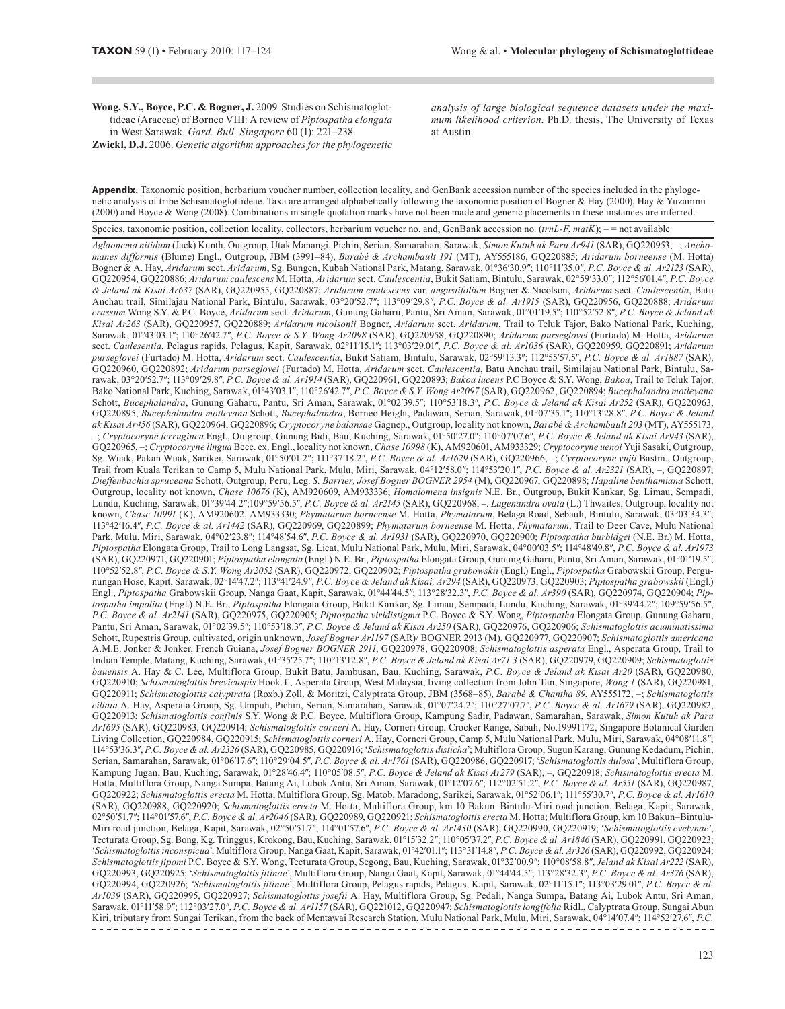Wong, S.Y., Boyce, P.C. & Bogner, J. 2009. Studies on Schismatoglottideae (Araceae) of Borneo VIII: A review of *Piptospatha elongata*  in West Sarawak. *Gard. Bull. Singapore* 60 (1): 221–238.

**Zwickl, D.J.** 2006. *Genetic algorithm approaches for the phylogenetic* 

*analysis of large biological sequence datasets under the maximum likelihood criterion*. Ph.D. thesis, The University of Texas at Austin.

**Appendix.** Taxonomic position, herbarium voucher number, collection locality, and GenBank accession number of the species included in the phylogenetic analysis of tribe Schismatoglottideae. Taxa are arranged alphabetically following the taxonomic position of Bogner & Hay (2000), Hay & Yuzammi (2000) and Boyce & Wong (2008). Combinations in single quotation marks have not been made and generic placements in these instances are inferred.

Species, taxonomic position, collection locality, collectors, herbarium voucher no. and, GenBank accession no. (*trnL-F*, *matK*); – = not available

Aglaonema nitidum (Jack) Kunth, Outgroup, Utak Manangi, Pichin, Serian, Samarahan, Sarawak, Simon Kutuh ak Paru Ar941 (SAR), GQ220953, -; Ancho*manes difformis* (Blume) Engl., Outgroup, JBM (3991–84), *Barabé & Archambault 191* (MT), AY555186, GQ220885; *Aridarum borneense* (M. Hotta) Bogner & A. Hay, *Aridarum* sect. *Aridarum*, Sg. Bungen, Kubah National Park, Matang, Sarawak, 01°36′30.9″; 110°11′35.0″, *P.C. Boyce & al. Ar2123* (SAR), GQ220954, GQ220886; *Aridarum caulescens* M. Hotta, *Aridarum* sect. *Caulescentia*, Bukit Satiam, Bintulu, Sarawak, 02°59′33.0″; 112°56′01.4″, *P.C. Boyce & Jeland ak Kisai Ar637* (SAR), GQ220955, GQ220887; *Aridarum caulescens* var. *angustifolium* Bogner & Nicolson, *Aridarum* sect. *Caulescentia*, Batu Anchau trail, Similajau National Park, Bintulu, Sarawak, 03°20′52.7″; 113°09′29.8″, *P.C. Boyce & al. Ar1915* (SAR), GQ220956, GQ220888; *Aridarum crassum* Wong S.Y. & P.C. Boyce, *Aridarum* sect. *Aridarum*, Gunung Gaharu, Pantu, Sri Aman, Sarawak, 01°01′19.5″; 110°52′52.8″, *P.C. Boyce & Jeland ak Kisai Ar263* (SAR), GQ220957, GQ220889; *Aridarum nicolsonii* Bogner, *Aridarum* sect. *Aridarum*, Trail to Teluk Tajor, Bako National Park, Kuching, Sarawak, 01°43′03.1″; 110°26′42.7″, *P.C. Boyce & S.Y. Wong Ar2098* (SAR), GQ220958, GQ220890; *Aridarum purseglovei* (Furtado) M. Hotta, *Aridarum* sect. *Caulesentia*, Pelagus rapids, Pelagus, Kapit, Sarawak, 02°11′15.1″; 113°03′29.01″, *P.C. Boyce & al. Ar1036* (SAR), GQ220959, GQ220891; *Aridarum purseglovei* (Furtado) M. Hotta, *Aridarum* sect. *Caulescentia*, Bukit Satiam, Bintulu, Sarawak, 02°59′13.3″; 112°55′57.5″, *P.C. Boyce & al. Ar1887* (SAR), GQ220960, GQ220892; *Aridarum purseglovei* (Furtado) M. Hotta, *Aridarum* sect. *Caulescentia*, Batu Anchau trail, Similajau National Park, Bintulu, Sarawak, 03°20′52.7″; 113°09′29.8″, *P.C. Boyce & al. Ar1914* (SAR), GQ220961, GQ220893; *Bakoa lucens* P.C Boyce & S.Y. Wong, *Bakoa*, Trail to Teluk Tajor, Bako National Park, Kuching, Sarawak, 01°43′03.1″; 110°26′42.7″, *P.C. Boyce & S.Y. Wong Ar2097* (SAR), GQ220962, GQ220894; *Bucephalandra motleyana* Schott, *Bucephalandra*, Gunung Gaharu, Pantu, Sri Aman, Sarawak, 01°02′39.5″; 110°53′18.3″, *P.C. Boyce & Jeland ak Kisai Ar252* (SAR), GQ220963, GQ220895; *Bucephalandra motleyana* Schott, *Bucephalandra*, Borneo Height, Padawan, Serian, Sarawak, 01°07′35.1″; 110°13′28.8″, *P.C. Boyce & Jeland ak Kisai Ar456* (SAR), GQ220964, GQ220896; *Cryptocoryne balansae* Gagnep., Outgroup, locality not known, *Barabé & Archambault 203* (MT), AY555173, – ; *Cryptocoryne ferruginea* Engl., Outgroup, Gunung Bidi, Bau, Kuching, Sarawak, 01°50′27.0″; 110°07′07.6″, *P.C. Boyce & Jeland ak Kisai Ar943* (SAR), GQ220965, – ; *Cryptocoryne lingua* Becc. ex. Engl., locality not known, *Chase 10998* (K), AM920601, AM933329; *Cryptocoryne uenoi* Yuji Sasaki, Outgroup, Sg. Wuak, Pakan Wuak, Sarikei, Sarawak, 01°50′01.2″; 111°37′18.2″, *P.C. Boyce & al. Ar1629* (SAR), GQ220966, – ; *Cyrptocoryne yujii* Bastm., Outgroup, Trail from Kuala Terikan to Camp 5, Mulu National Park, Mulu, Miri, Sarawak, 04°12′58.0″; 114°53′20.1″, *P.C. Boyce & al. Ar2321* (SAR), –, GQ220897; *Dieffenbachia spruceana* Schott, Outgroup, Peru, Leg. *S. Barrier, Josef Bogner BOGNER 2954* (M), GQ220967, GQ220898; *Hapaline benthamiana* Schott, Outgroup, locality not known, *Chase 10676* (K), AM920609, AM933336; *Homalomena insignis* N.E. Br., Outgroup, Bukit Kankar, Sg. Limau, Sempadi, Lundu, Kuching, Sarawak, 01°39′44.2″;109°59′56.5″, *P.C. Boyce & al. Ar2145* (SAR), GQ220968, –. *Lagenandra ovata* (L.) Thwaites, Outgroup, locality not known, *Chase 10991* (K), AM920602, AM933330; *Phymatarum borneense* M. Hotta, *Phymatarum*, Belaga Road, Sebauh, Bintulu, Sarawak, 03°03′34.3″; 113°42′16.4″, *P.C. Boyce & al. Ar1442* (SAR), GQ220969, GQ220899; *Phymatarum borneense* M. Hotta, *Phymatarum*, Trail to Deer Cave, Mulu National Park, Mulu, Miri, Sarawak, 04°02′23.8″; 114°48′54.6″, *P.C. Boyce & al. Ar1931* (SAR), GQ220970, GQ220900; *Piptospatha burbidgei* (N.E. Br.) M. Hotta, *Piptospatha* Elongata Group, Trail to Long Langsat, Sg. Licat, Mulu National Park, Mulu, Miri, Sarawak, 04°00′03.5″; 114°48′49.8″, *P.C. Boyce & al. Ar1973* (SAR), GQ220971, GQ220901; *Piptospatha elongata* (Engl.) N.E. Br., *Piptospatha* Elongata Group, Gunung Gaharu, Pantu, Sri Aman, Sarawak, 01°01′19.5″; 110°52′52.8″, *P.C. Boyce & S.Y. Wong Ar2052* (SAR), GQ220972, GQ220902; *Piptospatha grabowskii* (Engl.) Engl., *Piptospatha* Grabowskii Group, Pergunungan Hose, Kapit, Sarawak, 02°14′47.2″; 113°41′24.9″, *P.C. Boyce & Jeland ak Kisai, Ar294* (SAR), GQ220973, GQ220903; *Piptospatha grabowskii* (Engl.) Engl., *Piptospatha* Grabowskii Group, Nanga Gaat, Kapit, Sarawak, 01°44′44.5″; 113°28′32.3″, *P.C. Boyce & al. Ar390* (SAR), GQ220974, GQ220904; *Piptospatha impolita* (Engl.) N.E. Br., *Piptospatha* Elongata Group, Bukit Kankar, Sg. Limau, Sempadi, Lundu, Kuching, Sarawak, 01°39′44.2″; 109°59′56.5″, *P.C. Boyce & al. Ar2141* (SAR), GQ220975, GQ220905; *Piptospatha viridistigma* P.C. Boyce & S.Y. Wong, *Piptospatha* Elongata Group, Gunung Gaharu, Pantu, Sri Aman, Sarawak, 01°02′39.5″; 110°53′18.3″, *P.C. Boyce & Jeland ak Kisai Ar250* (SAR), GQ220976, GQ220906; *Schismatoglottis acuminatissima* Schott, Rupestris Group, cultivated, origin unknown, *Josef Bogner Ar1197* (SAR)/ BOGNER 2913 (M), GQ220977, GQ220907; *Schismatoglottis americana* A.M.E. Jonker & Jonker, French Guiana, *Josef Bogner BOGNER 2911*, GQ220978, GQ220908; *Schismatoglottis asperata* Engl., Asperata Group, Trail to Indian Temple, Matang, Kuching, Sarawak, 01°35′25.7″; 110°13′12.8″, *P.C. Boyce & Jeland ak Kisai Ar71.3* (SAR), GQ220979, GQ220909; *Schismatoglottis bauensis* A. Hay & C. Lee, Multiflora Group, Bukit Batu, Jambusan, Bau, Kuching, Sarawak, *P.C. Boyce & Jeland ak Kisai Ar20* (SAR), GQ220980, GQ220910; *Schismatoglottis brevicuspis* Hook. f*.*, Asperata Group, West Malaysia, living collection from John Tan, Singapore, *Wong 1* (SAR), GQ220981, GQ220911; *Schismatoglottis calyptrata* (Roxb.) Zoll. & Moritzi, Calyptrata Group, JBM (3568–85), *Barabé & Chantha 89*, AY555172, – ; *Schismatoglottis ciliata* A. Hay, Asperata Group, Sg. Umpuh, Pichin, Serian, Samarahan, Sarawak, 01°07′24.2″; 110°27′07.7″, *P.C. Boyce & al. Ar1679* (SAR), GQ220982, GQ220913; *Schismatoglottis confinis* S.Y. Wong & P.C. Boyce, Multiflora Group, Kampung Sadir, Padawan, Samarahan, Sarawak, *Simon Kutuh ak Paru Ar1695* (SAR), GQ220983, GQ220914; *Schismatoglottis corneri* A. Hay, Corneri Group, Crocker Range, Sabah, No.19991172, Singapore Botanical Garden Living Collection, GQ220984, GQ220915; *Schismatoglottis corneri* A. Hay, Corneri Group, Camp 5, Mulu National Park, Mulu, Miri, Sarawak, 04°08′11.8″; 114°53′36.3″, *P.C. Boyce & al. Ar2326* (SAR), GQ220985, GQ220916; '*Schismatoglottis disticha*'; Multiflora Group, Sugun Karang, Gunung Kedadum, Pichin, Serian, Samarahan, Sarawak, 01°06′17.6″; 110°29′04.5″, *P.C. Boyce & al. Ar1761* (SAR), GQ220986, GQ220917; '*Schismatoglottis dulosa*', Multiflora Group, Kampung Jugan, Bau, Kuching, Sarawak, 01°28′46.4″; 110°05′08.5″, *P.C. Boyce & Jeland ak Kisai Ar279* (SAR), –, GQ220918; *Schismatoglottis erecta* M. Hotta, Multiflora Group, Nanga Sumpa, Batang Ai, Lubok Antu, Sri Aman, Sarawak, 01°12′07.6″; 112°02′51.2″, *P.C. Boyce & al. Ar551* (SAR), GQ220987, GQ220922; *Schismatoglottis erecta* M. Hotta, Multiflora Group, Sg. Matob, Maradong, Sarikei, Sarawak, 01°52′06.1″; 111°55′30.7″, *P.C. Boyce & al. Ar1610* (SAR), GQ220988, GQ220920; *Schismatoglottis erecta* M. Hotta, Multiflora Group, km 10 Bakun–Bintulu-Miri road junction, Belaga, Kapit, Sarawak, 02°50′51.7″; 114°01′57.6″, *P.C. Boyce & al. Ar2046* (SAR), GQ220989, GQ220921; *Schismatoglottis erecta* M. Hotta; Multiflora Group, km 10 Bakun–Bintulu-Miri road junction, Belaga, Kapit, Sarawak, 02°50′51.7″; 114°01′57.6″, *P.C. Boyce & al. Ar1430* (SAR), GQ220990, GQ220919; '*Schismatoglottis evelynae*', Tecturata Group, Sg. Bong, Kg. Tringgus, Krokong, Bau, Kuching, Sarawak, 01°15′32.2″; 110°05′37.2″, *P.C. Boyce & al. Ar1846* (SAR), GQ220991, GQ220923; '*Schismatoglottis inconspicua*', Multiflora Group, Nanga Gaat, Kapit, Sarawak, 01°42′01.1″; 113°31′14.8″, *P.C. Boyce & al. Ar326* (SAR), GQ220992, GQ220924; *Schismatoglottis jipomi* P.C. Boyce & S.Y. Wong, Tecturata Group, Segong, Bau, Kuching, Sarawak, 01°32′00.9″; 110°08′58.8″, *Jeland ak Kisai Ar222* (SAR), GQ220993, GQ220925; '*Schismatoglottis jitinae*', Multiflora Group, Nanga Gaat, Kapit, Sarawak, 01°44′44.5″; 113°28′32.3″, *P.C. Boyce & al. Ar376* (SAR), GQ220994, GQ220926; *'Schismatoglottis jitinae*', Multiflora Group, Pelagus rapids, Pelagus, Kapit, Sarawak, 02°11′15.1″; 113°03′29.01″, *P.C. Boyce & al. Ar1039* (SAR), GQ220995, GQ220927; *Schismatoglottis josefii* A. Hay, Multiflora Group, Sg. Pedali, Nanga Sumpa, Batang Ai, Lubok Antu, Sri Aman, Sarawak, 01°11′58.9″; 112°03′27.0″, *P.C. Boyce & al. Ar1157* (SAR), GQ221012, GQ220947; *Schismatoglottis longifolia* Ridl., Calyptrata Group, Sungai Abun Kiri, tributary from Sungai Terikan, from the back of Mentawai Research Station, Mulu National Park, Mulu, Miri, Sarawak, 04°14′07.4″; 114°52′27.6″, *P.C.*